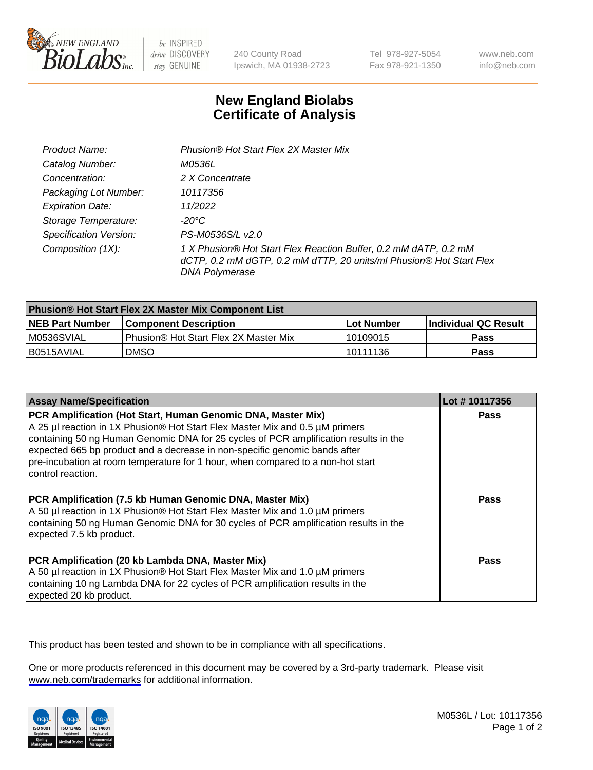

be INSPIRED drive DISCOVERY stay GENUINE

240 County Road Ipswich, MA 01938-2723 Tel 978-927-5054 Fax 978-921-1350

www.neb.com info@neb.com

## **New England Biolabs Certificate of Analysis**

| Product Name:                 | Phusion® Hot Start Flex 2X Master Mix                                                                                                                     |
|-------------------------------|-----------------------------------------------------------------------------------------------------------------------------------------------------------|
| Catalog Number:               | M0536L                                                                                                                                                    |
| Concentration:                | 2 X Concentrate                                                                                                                                           |
| Packaging Lot Number:         | 10117356                                                                                                                                                  |
| <b>Expiration Date:</b>       | 11/2022                                                                                                                                                   |
| Storage Temperature:          | -20°C                                                                                                                                                     |
| <b>Specification Version:</b> | PS-M0536S/L v2.0                                                                                                                                          |
| Composition (1X):             | 1 X Phusion® Hot Start Flex Reaction Buffer, 0.2 mM dATP, 0.2 mM<br>dCTP, 0.2 mM dGTP, 0.2 mM dTTP, 20 units/ml Phusion® Hot Start Flex<br>DNA Polymerase |

| <b>Phusion® Hot Start Flex 2X Master Mix Component List</b> |                                       |                   |                             |  |
|-------------------------------------------------------------|---------------------------------------|-------------------|-----------------------------|--|
| <b>NEB Part Number</b>                                      | <b>Component Description</b>          | <b>Lot Number</b> | <b>Individual QC Result</b> |  |
| IM0536SVIAL                                                 | Phusion® Hot Start Flex 2X Master Mix | 10109015          | <b>Pass</b>                 |  |
| I B0515AVIAL                                                | DMSO                                  | 10111136          | Pass                        |  |

| <b>Assay Name/Specification</b>                                                                                                                                                                                                                                                                                                                                                                                            | Lot #10117356 |
|----------------------------------------------------------------------------------------------------------------------------------------------------------------------------------------------------------------------------------------------------------------------------------------------------------------------------------------------------------------------------------------------------------------------------|---------------|
| PCR Amplification (Hot Start, Human Genomic DNA, Master Mix)<br>A 25 µl reaction in 1X Phusion® Hot Start Flex Master Mix and 0.5 µM primers<br>containing 50 ng Human Genomic DNA for 25 cycles of PCR amplification results in the<br>expected 665 bp product and a decrease in non-specific genomic bands after<br>pre-incubation at room temperature for 1 hour, when compared to a non-hot start<br>control reaction. | <b>Pass</b>   |
| PCR Amplification (7.5 kb Human Genomic DNA, Master Mix)<br>A 50 µl reaction in 1X Phusion® Hot Start Flex Master Mix and 1.0 µM primers<br>containing 50 ng Human Genomic DNA for 30 cycles of PCR amplification results in the<br>expected 7.5 kb product.                                                                                                                                                               | Pass          |
| PCR Amplification (20 kb Lambda DNA, Master Mix)<br>A 50 µl reaction in 1X Phusion® Hot Start Flex Master Mix and 1.0 µM primers<br>containing 10 ng Lambda DNA for 22 cycles of PCR amplification results in the<br>expected 20 kb product.                                                                                                                                                                               | Pass          |

This product has been tested and shown to be in compliance with all specifications.

One or more products referenced in this document may be covered by a 3rd-party trademark. Please visit <www.neb.com/trademarks>for additional information.